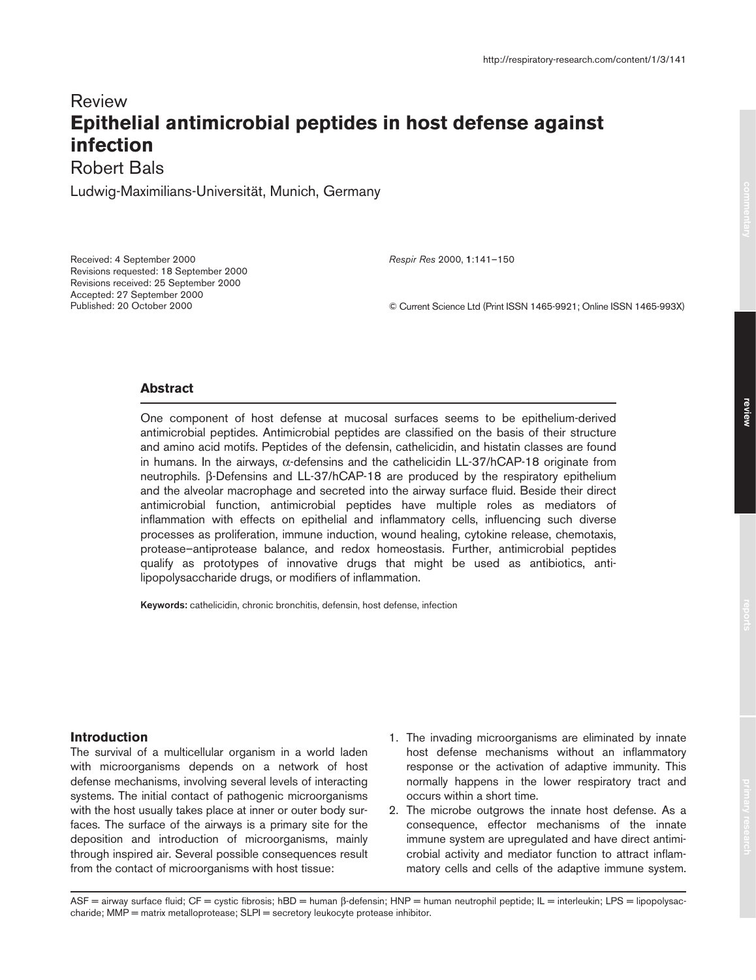# Review **Epithelial antimicrobial peptides in host defense against infection**

Robert Bals

Ludwig-Maximilians-Universität, Munich, Germany

Received: 4 September 2000 Revisions requested: 18 September 2000 Revisions received: 25 September 2000 Accepted: 27 September 2000 Published: 20 October 2000

*Respir Res* 2000, **1**:141–150

© Current Science Ltd (Print ISSN 1465-9921; Online ISSN 1465-993X)

# **Abstract**

One component of host defense at mucosal surfaces seems to be epithelium-derived antimicrobial peptides. Antimicrobial peptides are classified on the basis of their structure and amino acid motifs. Peptides of the defensin, cathelicidin, and histatin classes are found in humans. In the airways, α-defensins and the cathelicidin LL-37/hCAP-18 originate from neutrophils. β-Defensins and LL-37/hCAP-18 are produced by the respiratory epithelium and the alveolar macrophage and secreted into the airway surface fluid. Beside their direct antimicrobial function, antimicrobial peptides have multiple roles as mediators of inflammation with effects on epithelial and inflammatory cells, influencing such diverse processes as proliferation, immune induction, wound healing, cytokine release, chemotaxis, protease–antiprotease balance, and redox homeostasis. Further, antimicrobial peptides qualify as prototypes of innovative drugs that might be used as antibiotics, antilipopolysaccharide drugs, or modifiers of inflammation.

**Keywords:** cathelicidin, chronic bronchitis, defensin, host defense, infection

# **Introduction**

The survival of a multicellular organism in a world laden with microorganisms depends on a network of host defense mechanisms, involving several levels of interacting systems. The initial contact of pathogenic microorganisms with the host usually takes place at inner or outer body surfaces. The surface of the airways is a primary site for the deposition and introduction of microorganisms, mainly through inspired air. Several possible consequences result from the contact of microorganisms with host tissue:

- 1. The invading microorganisms are eliminated by innate host defense mechanisms without an inflammatory response or the activation of adaptive immunity. This normally happens in the lower respiratory tract and occurs within a short time.
- 2. The microbe outgrows the innate host defense. As a consequence, effector mechanisms of the innate immune system are upregulated and have direct antimicrobial activity and mediator function to attract inflammatory cells and cells of the adaptive immune system.

ASF = airway surface fluid; CF = cystic fibrosis; hBD = human β-defensin; HNP = human neutrophil peptide; IL = interleukin; LPS = lipopolysaccharide; MMP = matrix metalloprotease; SLPI = secretory leukocyte protease inhibitor.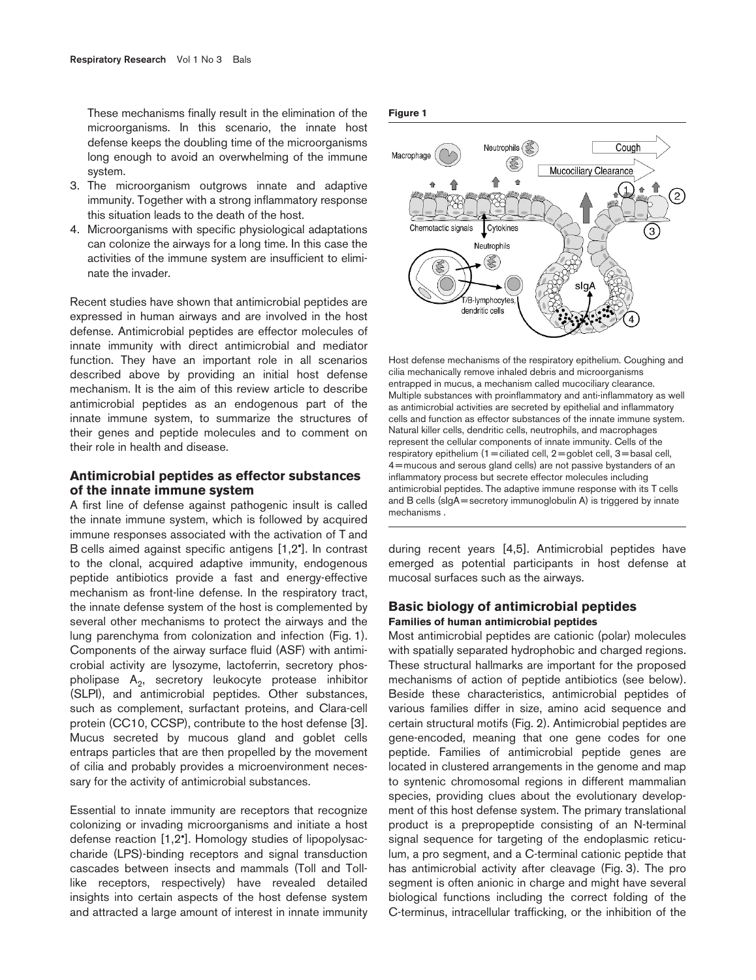These mechanisms finally result in the elimination of the microorganisms. In this scenario, the innate host defense keeps the doubling time of the microorganisms long enough to avoid an overwhelming of the immune system.

- 3. The microorganism outgrows innate and adaptive immunity. Together with a strong inflammatory response this situation leads to the death of the host.
- 4. Microorganisms with specific physiological adaptations can colonize the airways for a long time. In this case the activities of the immune system are insufficient to eliminate the invader.

Recent studies have shown that antimicrobial peptides are expressed in human airways and are involved in the host defense. Antimicrobial peptides are effector molecules of innate immunity with direct antimicrobial and mediator function. They have an important role in all scenarios described above by providing an initial host defense mechanism. It is the aim of this review article to describe antimicrobial peptides as an endogenous part of the innate immune system, to summarize the structures of their genes and peptide molecules and to comment on their role in health and disease.

## **Antimicrobial peptides as effector substances of the innate immune system**

A first line of defense against pathogenic insult is called the innate immune system, which is followed by acquired immune responses associated with the activation of T and B cells aimed against specific antigens [1,2•]. In contrast to the clonal, acquired adaptive immunity, endogenous peptide antibiotics provide a fast and energy-effective mechanism as front-line defense. In the respiratory tract, the innate defense system of the host is complemented by several other mechanisms to protect the airways and the lung parenchyma from colonization and infection (Fig. 1). Components of the airway surface fluid (ASF) with antimicrobial activity are lysozyme, lactoferrin, secretory phospholipase  $A_2$ , secretory leukocyte protease inhibitor (SLPI), and antimicrobial peptides. Other substances, such as complement, surfactant proteins, and Clara-cell protein (CC10, CCSP), contribute to the host defense [3]. Mucus secreted by mucous gland and goblet cells entraps particles that are then propelled by the movement of cilia and probably provides a microenvironment necessary for the activity of antimicrobial substances.

Essential to innate immunity are receptors that recognize colonizing or invading microorganisms and initiate a host defense reaction [1,2•]. Homology studies of lipopolysaccharide (LPS)-binding receptors and signal transduction cascades between insects and mammals (Toll and Tolllike receptors, respectively) have revealed detailed insights into certain aspects of the host defense system and attracted a large amount of interest in innate immunity **Figure 1**



Host defense mechanisms of the respiratory epithelium. Coughing and cilia mechanically remove inhaled debris and microorganisms entrapped in mucus, a mechanism called mucociliary clearance. Multiple substances with proinflammatory and anti-inflammatory as well as antimicrobial activities are secreted by epithelial and inflammatory cells and function as effector substances of the innate immune system. Natural killer cells, dendritic cells, neutrophils, and macrophages represent the cellular components of innate immunity. Cells of the respiratory epithelium  $(1$  = ciliated cell,  $2$  = goblet cell,  $3$  = basal cell, 4 = mucous and serous gland cells) are not passive bystanders of an inflammatory process but secrete effector molecules including antimicrobial peptides. The adaptive immune response with its T cells and  $B$  cells (sIgA = secretory immunoglobulin A) is triggered by innate mechanisms .

during recent years [4,5]. Antimicrobial peptides have emerged as potential participants in host defense at mucosal surfaces such as the airways.

# **Basic biology of antimicrobial peptides Families of human antimicrobial peptides**

Most antimicrobial peptides are cationic (polar) molecules with spatially separated hydrophobic and charged regions. These structural hallmarks are important for the proposed mechanisms of action of peptide antibiotics (see below). Beside these characteristics, antimicrobial peptides of various families differ in size, amino acid sequence and certain structural motifs (Fig. 2). Antimicrobial peptides are gene-encoded, meaning that one gene codes for one peptide. Families of antimicrobial peptide genes are located in clustered arrangements in the genome and map to syntenic chromosomal regions in different mammalian species, providing clues about the evolutionary development of this host defense system. The primary translational product is a prepropeptide consisting of an N-terminal signal sequence for targeting of the endoplasmic reticulum, a pro segment, and a C-terminal cationic peptide that has antimicrobial activity after cleavage (Fig. 3). The pro segment is often anionic in charge and might have several biological functions including the correct folding of the C-terminus, intracellular trafficking, or the inhibition of the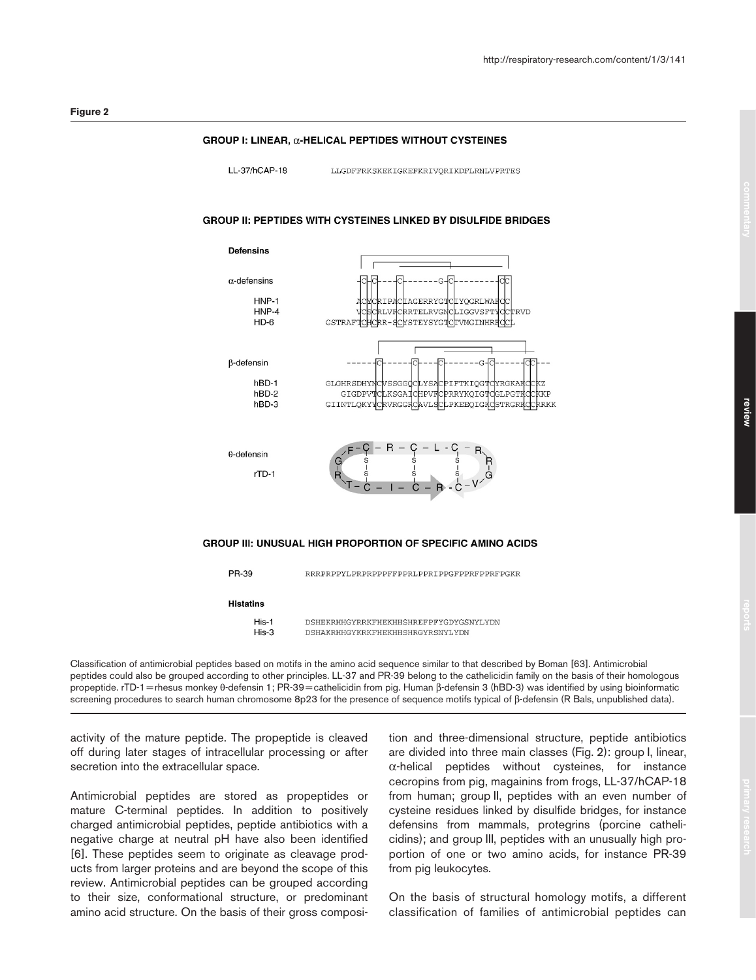#### GROUP I: LINEAR, a-HELICAL PEPTIDES WITHOUT CYSTEINES

11-37/hCAP-18

LLGDFFRKSKEKIGKEFKRIVORIKDFLRNLVPRTES

#### **GROUP II: PEPTIDES WITH CYSTEINES LINKED BY DISULFIDE BRIDGES**





Classification of antimicrobial peptides based on motifs in the amino acid sequence similar to that described by Boman [63]. Antimicrobial peptides could also be grouped according to other principles. LL-37 and PR-39 belong to the cathelicidin family on the basis of their homologous propeptide. rTD-1 = rhesus monkey θ-defensin 1; PR-39 = cathelicidin from pig. Human β-defensin 3 (hBD-3) was identified by using bioinformatic screening procedures to search human chromosome 8p23 for the presence of sequence motifs typical of β-defensin (R Bals, unpublished data).

activity of the mature peptide. The propeptide is cleaved off during later stages of intracellular processing or after secretion into the extracellular space.

Antimicrobial peptides are stored as propeptides or mature C-terminal peptides. In addition to positively charged antimicrobial peptides, peptide antibiotics with a negative charge at neutral pH have also been identified [6]. These peptides seem to originate as cleavage products from larger proteins and are beyond the scope of this review. Antimicrobial peptides can be grouped according to their size, conformational structure, or predominant amino acid structure. On the basis of their gross composition and three-dimensional structure, peptide antibiotics are divided into three main classes (Fig. 2): group I, linear,  $\alpha$ -helical peptides without cysteines, for instance cecropins from pig, magainins from frogs, LL-37/hCAP-18 from human; group II, peptides with an even number of cysteine residues linked by disulfide bridges, for instance defensins from mammals, protegrins (porcine cathelicidins); and group III, peptides with an unusually high proportion of one or two amino acids, for instance PR-39 from pig leukocytes.

On the basis of structural homology motifs, a different classification of families of antimicrobial peptides can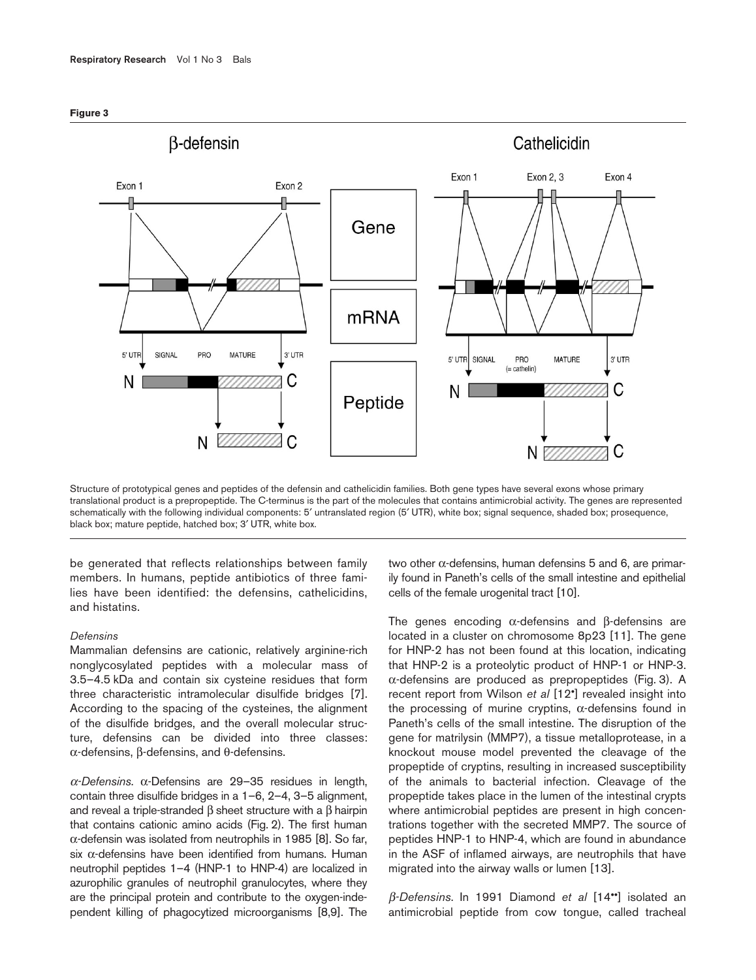



Structure of prototypical genes and peptides of the defensin and cathelicidin families. Both gene types have several exons whose primary translational product is a prepropeptide. The C-terminus is the part of the molecules that contains antimicrobial activity. The genes are represented schematically with the following individual components: 5′ untranslated region (5′ UTR), white box; signal sequence, shaded box; prosequence, black box; mature peptide, hatched box; 3′ UTR, white box.

be generated that reflects relationships between family members. In humans, peptide antibiotics of three families have been identified: the defensins, cathelicidins, and histatins.

#### *Defensins*

Mammalian defensins are cationic, relatively arginine-rich nonglycosylated peptides with a molecular mass of 3.5–4.5 kDa and contain six cysteine residues that form three characteristic intramolecular disulfide bridges [7]. According to the spacing of the cysteines, the alignment of the disulfide bridges, and the overall molecular structure, defensins can be divided into three classes: α-defensins, β-defensins, and θ-defensins.

<sup>α</sup>*-Defensins*. α-Defensins are 29–35 residues in length, contain three disulfide bridges in a 1–6, 2–4, 3–5 alignment, and reveal a triple-stranded β sheet structure with a β hairpin that contains cationic amino acids (Fig. 2). The first human α-defensin was isolated from neutrophils in 1985 [8]. So far, six α-defensins have been identified from humans. Human neutrophil peptides 1–4 (HNP-1 to HNP-4) are localized in azurophilic granules of neutrophil granulocytes, where they are the principal protein and contribute to the oxygen-independent killing of phagocytized microorganisms [8,9]. The two other α-defensins, human defensins 5 and 6, are primarily found in Paneth's cells of the small intestine and epithelial cells of the female urogenital tract [10].

The genes encoding α-defensins and β-defensins are located in a cluster on chromosome 8p23 [11]. The gene for HNP-2 has not been found at this location, indicating that HNP-2 is a proteolytic product of HNP-1 or HNP-3. α-defensins are produced as prepropeptides (Fig. 3). A recent report from Wilson *et al* [12•] revealed insight into the processing of murine cryptins,  $\alpha$ -defensins found in Paneth's cells of the small intestine. The disruption of the gene for matrilysin (MMP7), a tissue metalloprotease, in a knockout mouse model prevented the cleavage of the propeptide of cryptins, resulting in increased susceptibility of the animals to bacterial infection. Cleavage of the propeptide takes place in the lumen of the intestinal crypts where antimicrobial peptides are present in high concentrations together with the secreted MMP7. The source of peptides HNP-1 to HNP-4, which are found in abundance in the ASF of inflamed airways, are neutrophils that have migrated into the airway walls or lumen [13].

β*-Defensins*. In 1991 Diamond *et al* [14••] isolated an antimicrobial peptide from cow tongue, called tracheal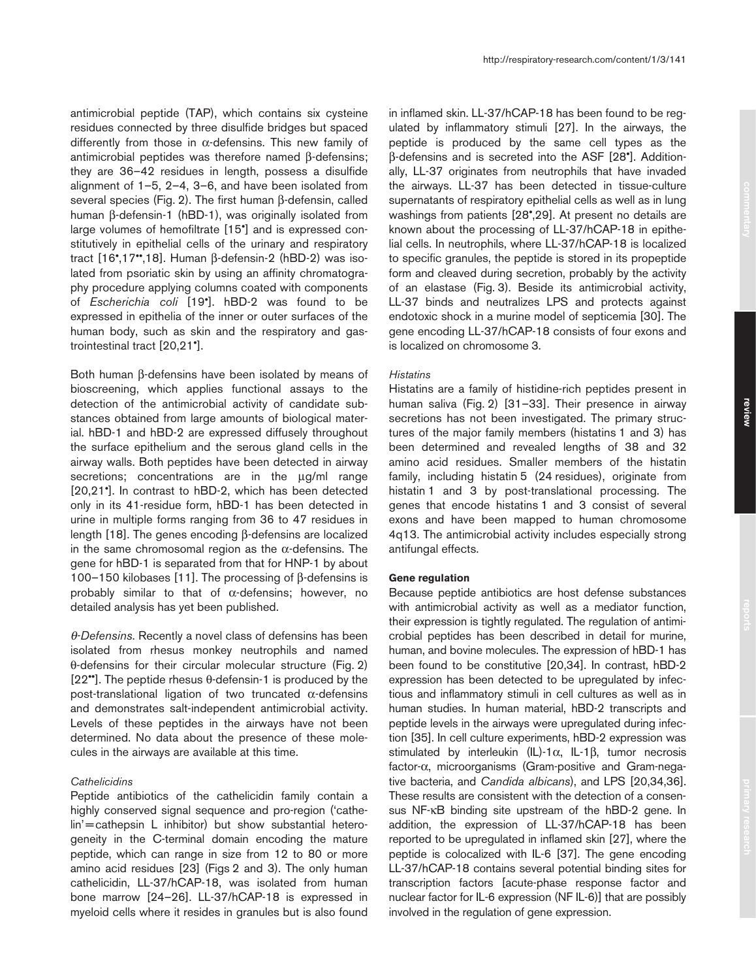antimicrobial peptide (TAP), which contains six cysteine residues connected by three disulfide bridges but spaced differently from those in  $\alpha$ -defensins. This new family of antimicrobial peptides was therefore named β-defensins; they are 36–42 residues in length, possess a disulfide alignment of 1–5, 2–4, 3–6, and have been isolated from several species (Fig. 2). The first human β-defensin, called human β-defensin-1 (hBD-1), was originally isolated from large volumes of hemofiltrate [15•] and is expressed constitutively in epithelial cells of the urinary and respiratory tract [16•,17••,18]. Human β-defensin-2 (hBD-2) was isolated from psoriatic skin by using an affinity chromatography procedure applying columns coated with components of *Escherichia coli* [19•]. hBD-2 was found to be expressed in epithelia of the inner or outer surfaces of the human body, such as skin and the respiratory and gastrointestinal tract [20,21•].

Both human β-defensins have been isolated by means of bioscreening, which applies functional assays to the detection of the antimicrobial activity of candidate substances obtained from large amounts of biological material. hBD-1 and hBD-2 are expressed diffusely throughout the surface epithelium and the serous gland cells in the airway walls. Both peptides have been detected in airway secretions; concentrations are in the ug/ml range [20,21•]. In contrast to hBD-2, which has been detected only in its 41-residue form, hBD-1 has been detected in urine in multiple forms ranging from 36 to 47 residues in length [18]. The genes encoding β-defensins are localized in the same chromosomal region as the  $\alpha$ -defensins. The gene for hBD-1 is separated from that for HNP-1 by about 100–150 kilobases [11]. The processing of β-defensins is probably similar to that of  $\alpha$ -defensins; however, no detailed analysis has yet been published.

θ*-Defensins*. Recently a novel class of defensins has been isolated from rhesus monkey neutrophils and named θ-defensins for their circular molecular structure (Fig. 2) [22<sup>••</sup>]. The peptide rhesus  $\theta$ -defensin-1 is produced by the post-translational ligation of two truncated  $α$ -defensins and demonstrates salt-independent antimicrobial activity. Levels of these peptides in the airways have not been determined. No data about the presence of these molecules in the airways are available at this time.

#### *Cathelicidins*

Peptide antibiotics of the cathelicidin family contain a highly conserved signal sequence and pro-region ('cathelin'=cathepsin L inhibitor) but show substantial heterogeneity in the C-terminal domain encoding the mature peptide, which can range in size from 12 to 80 or more amino acid residues [23] (Figs 2 and 3). The only human cathelicidin, LL-37/hCAP-18, was isolated from human bone marrow [24–26]. LL-37/hCAP-18 is expressed in myeloid cells where it resides in granules but is also found in inflamed skin. LL-37/hCAP-18 has been found to be regulated by inflammatory stimuli [27]. In the airways, the peptide is produced by the same cell types as the β-defensins and is secreted into the ASF [28•]. Additionally, LL-37 originates from neutrophils that have invaded the airways. LL-37 has been detected in tissue-culture supernatants of respiratory epithelial cells as well as in lung washings from patients [28•,29]. At present no details are known about the processing of LL-37/hCAP-18 in epithelial cells. In neutrophils, where LL-37/hCAP-18 is localized to specific granules, the peptide is stored in its propeptide form and cleaved during secretion, probably by the activity of an elastase (Fig. 3). Beside its antimicrobial activity, LL-37 binds and neutralizes LPS and protects against endotoxic shock in a murine model of septicemia [30]. The gene encoding LL-37/hCAP-18 consists of four exons and is localized on chromosome 3.

#### *Histatins*

Histatins are a family of histidine-rich peptides present in human saliva (Fig. 2) [31–33]. Their presence in airway secretions has not been investigated. The primary structures of the major family members (histatins 1 and 3) has been determined and revealed lengths of 38 and 32 amino acid residues. Smaller members of the histatin family, including histatin 5 (24 residues), originate from histatin 1 and 3 by post-translational processing. The genes that encode histatins 1 and 3 consist of several exons and have been mapped to human chromosome 4q13. The antimicrobial activity includes especially strong antifungal effects.

### **Gene regulation**

Because peptide antibiotics are host defense substances with antimicrobial activity as well as a mediator function, their expression is tightly regulated. The regulation of antimicrobial peptides has been described in detail for murine, human, and bovine molecules. The expression of hBD-1 has been found to be constitutive [20,34]. In contrast, hBD-2 expression has been detected to be upregulated by infectious and inflammatory stimuli in cell cultures as well as in human studies. In human material, hBD-2 transcripts and peptide levels in the airways were upregulated during infection [35]. In cell culture experiments, hBD-2 expression was stimulated by interleukin (IL)-1α, IL-1β, tumor necrosis factor-α, microorganisms (Gram-positive and Gram-negative bacteria, and *Candida albicans*), and LPS [20,34,36]. These results are consistent with the detection of a consensus NF-κB binding site upstream of the hBD-2 gene. In addition, the expression of LL-37/hCAP-18 has been reported to be upregulated in inflamed skin [27], where the peptide is colocalized with IL-6 [37]. The gene encoding LL-37/hCAP-18 contains several potential binding sites for transcription factors [acute-phase response factor and nuclear factor for IL-6 expression (NF IL-6)] that are possibly involved in the regulation of gene expression.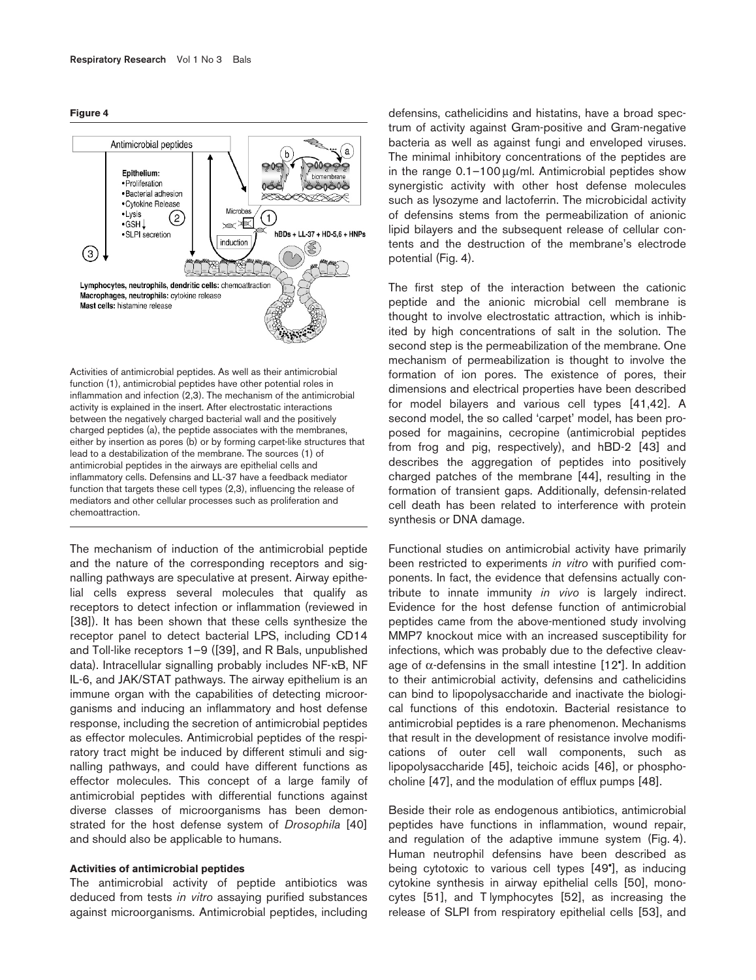#### **Figure 4**



Activities of antimicrobial peptides. As well as their antimicrobial function (1), antimicrobial peptides have other potential roles in inflammation and infection (2,3). The mechanism of the antimicrobial activity is explained in the insert. After electrostatic interactions between the negatively charged bacterial wall and the positively charged peptides (a), the peptide associates with the membranes, either by insertion as pores (b) or by forming carpet-like structures that lead to a destabilization of the membrane. The sources (1) of antimicrobial peptides in the airways are epithelial cells and inflammatory cells. Defensins and LL-37 have a feedback mediator function that targets these cell types (2,3), influencing the release of mediators and other cellular processes such as proliferation and chemoattraction.

The mechanism of induction of the antimicrobial peptide and the nature of the corresponding receptors and signalling pathways are speculative at present. Airway epithelial cells express several molecules that qualify as receptors to detect infection or inflammation (reviewed in [38]). It has been shown that these cells synthesize the receptor panel to detect bacterial LPS, including CD14 and Toll-like receptors 1–9 ([39], and R Bals, unpublished data). Intracellular signalling probably includes NF-κB, NF IL-6, and JAK/STAT pathways. The airway epithelium is an immune organ with the capabilities of detecting microorganisms and inducing an inflammatory and host defense response, including the secretion of antimicrobial peptides as effector molecules. Antimicrobial peptides of the respiratory tract might be induced by different stimuli and signalling pathways, and could have different functions as effector molecules. This concept of a large family of antimicrobial peptides with differential functions against diverse classes of microorganisms has been demonstrated for the host defense system of *Drosophila* [40] and should also be applicable to humans.

## **Activities of antimicrobial peptides**

The antimicrobial activity of peptide antibiotics was deduced from tests *in vitro* assaying purified substances against microorganisms. Antimicrobial peptides, including

defensins, cathelicidins and histatins, have a broad spectrum of activity against Gram-positive and Gram-negative bacteria as well as against fungi and enveloped viruses. The minimal inhibitory concentrations of the peptides are in the range  $0.1-100 \mu g/ml$ . Antimicrobial peptides show synergistic activity with other host defense molecules such as lysozyme and lactoferrin. The microbicidal activity of defensins stems from the permeabilization of anionic lipid bilayers and the subsequent release of cellular contents and the destruction of the membrane's electrode potential (Fig. 4).

The first step of the interaction between the cationic peptide and the anionic microbial cell membrane is thought to involve electrostatic attraction, which is inhibited by high concentrations of salt in the solution. The second step is the permeabilization of the membrane. One mechanism of permeabilization is thought to involve the formation of ion pores. The existence of pores, their dimensions and electrical properties have been described for model bilayers and various cell types [41,42]. A second model, the so called 'carpet' model, has been proposed for magainins, cecropine (antimicrobial peptides from frog and pig, respectively), and hBD-2 [43] and describes the aggregation of peptides into positively charged patches of the membrane [44], resulting in the formation of transient gaps. Additionally, defensin-related cell death has been related to interference with protein synthesis or DNA damage.

Functional studies on antimicrobial activity have primarily been restricted to experiments *in vitro* with purified components. In fact, the evidence that defensins actually contribute to innate immunity *in vivo* is largely indirect. Evidence for the host defense function of antimicrobial peptides came from the above-mentioned study involving MMP7 knockout mice with an increased susceptibility for infections, which was probably due to the defective cleavage of  $\alpha$ -defensins in the small intestine [12<sup>°</sup>]. In addition to their antimicrobial activity, defensins and cathelicidins can bind to lipopolysaccharide and inactivate the biological functions of this endotoxin. Bacterial resistance to antimicrobial peptides is a rare phenomenon. Mechanisms that result in the development of resistance involve modifications of outer cell wall components, such as lipopolysaccharide [45], teichoic acids [46], or phosphocholine [47], and the modulation of efflux pumps [48].

Beside their role as endogenous antibiotics, antimicrobial peptides have functions in inflammation, wound repair, and regulation of the adaptive immune system (Fig. 4). Human neutrophil defensins have been described as being cytotoxic to various cell types [49•], as inducing cytokine synthesis in airway epithelial cells [50], monocytes [51], and T lymphocytes [52], as increasing the release of SLPI from respiratory epithelial cells [53], and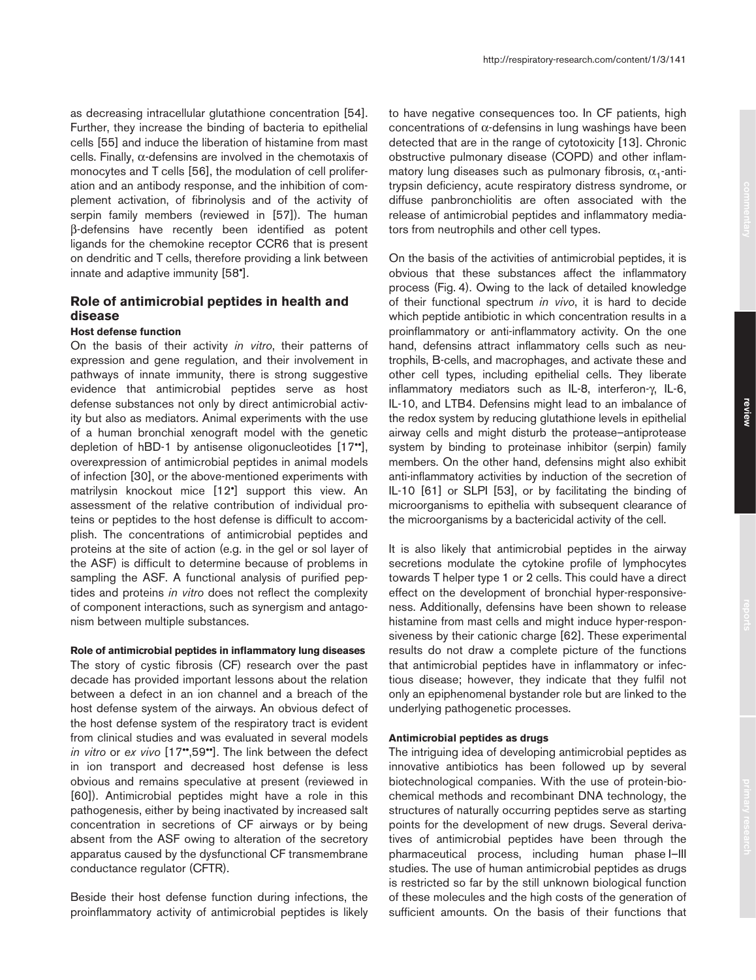as decreasing intracellular glutathione concentration [54]. Further, they increase the binding of bacteria to epithelial cells [55] and induce the liberation of histamine from mast cells. Finally, α-defensins are involved in the chemotaxis of monocytes and T cells [56], the modulation of cell proliferation and an antibody response, and the inhibition of complement activation, of fibrinolysis and of the activity of serpin family members (reviewed in [57]). The human β-defensins have recently been identified as potent ligands for the chemokine receptor CCR6 that is present on dendritic and T cells, therefore providing a link between innate and adaptive immunity [58•].

# **Role of antimicrobial peptides in health and disease**

## **Host defense function**

On the basis of their activity *in vitro*, their patterns of expression and gene regulation, and their involvement in pathways of innate immunity, there is strong suggestive evidence that antimicrobial peptides serve as host defense substances not only by direct antimicrobial activity but also as mediators. Animal experiments with the use of a human bronchial xenograft model with the genetic depletion of hBD-1 by antisense oligonucleotides [17••], overexpression of antimicrobial peptides in animal models of infection [30], or the above-mentioned experiments with matrilysin knockout mice [12•] support this view. An assessment of the relative contribution of individual proteins or peptides to the host defense is difficult to accomplish. The concentrations of antimicrobial peptides and proteins at the site of action (e.g. in the gel or sol layer of the ASF) is difficult to determine because of problems in sampling the ASF. A functional analysis of purified peptides and proteins *in vitro* does not reflect the complexity of component interactions, such as synergism and antagonism between multiple substances.

#### **Role of antimicrobial peptides in inflammatory lung diseases**

The story of cystic fibrosis (CF) research over the past decade has provided important lessons about the relation between a defect in an ion channel and a breach of the host defense system of the airways. An obvious defect of the host defense system of the respiratory tract is evident from clinical studies and was evaluated in several models *in vitro* or *ex vivo* [17••,59••]. The link between the defect in ion transport and decreased host defense is less obvious and remains speculative at present (reviewed in [60]). Antimicrobial peptides might have a role in this pathogenesis, either by being inactivated by increased salt concentration in secretions of CF airways or by being absent from the ASF owing to alteration of the secretory apparatus caused by the dysfunctional CF transmembrane conductance regulator (CFTR).

Beside their host defense function during infections, the proinflammatory activity of antimicrobial peptides is likely to have negative consequences too. In CF patients, high concentrations of α-defensins in lung washings have been detected that are in the range of cytotoxicity [13]. Chronic obstructive pulmonary disease (COPD) and other inflammatory lung diseases such as pulmonary fibrosis,  $\alpha_1$ -antitrypsin deficiency, acute respiratory distress syndrome, or diffuse panbronchiolitis are often associated with the release of antimicrobial peptides and inflammatory mediators from neutrophils and other cell types.

On the basis of the activities of antimicrobial peptides, it is obvious that these substances affect the inflammatory process (Fig. 4). Owing to the lack of detailed knowledge of their functional spectrum *in vivo*, it is hard to decide which peptide antibiotic in which concentration results in a proinflammatory or anti-inflammatory activity. On the one hand, defensins attract inflammatory cells such as neutrophils, B-cells, and macrophages, and activate these and other cell types, including epithelial cells. They liberate inflammatory mediators such as IL-8, interferon-γ, IL-6, IL-10, and LTB4. Defensins might lead to an imbalance of the redox system by reducing glutathione levels in epithelial airway cells and might disturb the protease–antiprotease system by binding to proteinase inhibitor (serpin) family members. On the other hand, defensins might also exhibit anti-inflammatory activities by induction of the secretion of IL-10 [61] or SLPI [53], or by facilitating the binding of microorganisms to epithelia with subsequent clearance of the microorganisms by a bactericidal activity of the cell.

It is also likely that antimicrobial peptides in the airway secretions modulate the cytokine profile of lymphocytes towards T helper type 1 or 2 cells. This could have a direct effect on the development of bronchial hyper-responsiveness. Additionally, defensins have been shown to release histamine from mast cells and might induce hyper-responsiveness by their cationic charge [62]. These experimental results do not draw a complete picture of the functions that antimicrobial peptides have in inflammatory or infectious disease; however, they indicate that they fulfil not only an epiphenomenal bystander role but are linked to the underlying pathogenetic processes.

# **Antimicrobial peptides as drugs**

The intriguing idea of developing antimicrobial peptides as innovative antibiotics has been followed up by several biotechnological companies. With the use of protein-biochemical methods and recombinant DNA technology, the structures of naturally occurring peptides serve as starting points for the development of new drugs. Several derivatives of antimicrobial peptides have been through the pharmaceutical process, including human phase I–III studies. The use of human antimicrobial peptides as drugs is restricted so far by the still unknown biological function of these molecules and the high costs of the generation of sufficient amounts. On the basis of their functions that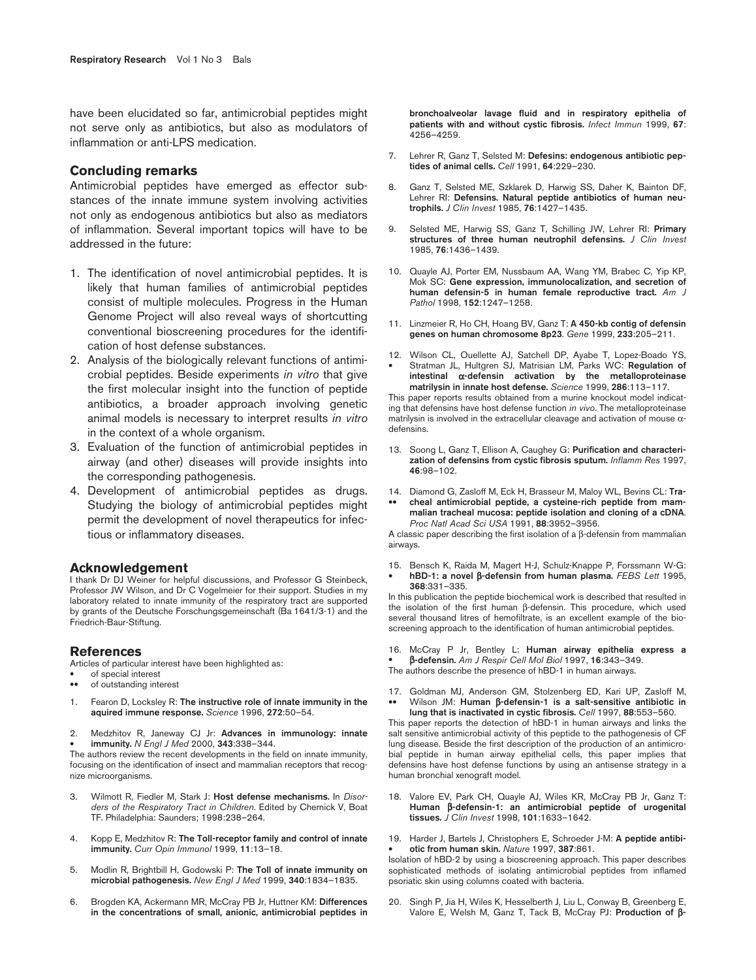have been elucidated so far, antimicrobial peptides might not serve only as antibiotics, but also as modulators of inflammation or anti-LPS medication.

## **Concluding remarks**

Antimicrobial peptides have emerged as effector substances of the innate immune system involving activities not only as endogenous antibiotics but also as mediators of inflammation. Several important topics will have to be addressed in the future:

- 1. The identification of novel antimicrobial peptides. It is likely that human families of antimicrobial peptides consist of multiple molecules. Progress in the Human Genome Project will also reveal ways of shortcutting conventional bioscreening procedures for the identification of host defense substances.
- 2. Analysis of the biologically relevant functions of antimicrobial peptides. Beside experiments *in vitro* that give the first molecular insight into the function of peptide antibiotics, a broader approach involving genetic animal models is necessary to interpret results *in vitro* in the context of a whole organism.
- 3. Evaluation of the function of antimicrobial peptides in airway (and other) diseases will provide insights into the corresponding pathogenesis.
- 4. Development of antimicrobial peptides as drugs. Studying the biology of antimicrobial peptides might permit the development of novel therapeutics for infectious or inflammatory diseases.

#### **Acknowledgement**

I thank Dr DJ Weiner for helpful discussions, and Professor G Steinbeck, Professor JW Wilson, and Dr C Vogelmeier for their support. Studies in my laboratory related to innate immunity of the respiratory tract are supported by grants of the Deutsche Forschungsgemeinschaft (Ba 1641/3-1) and the Friedrich-Baur-Stiftung.

#### **References**

Articles of particular interest have been highlighted as:

- of special interest<br>• of outstanding inter-
- of outstanding interest
- 1. Fearon D, Locksley R: **The instructive role of innate immunity in the aquired immune response.** *Science* 1996, **272**:50–54.
- 2. Medzhitov R, Janeway CJ Jr: **Advances in immunology: innate**  • **immunity.** *N Engl J Med* 2000, **343**:338–344.

The authors review the recent developments in the field on innate immunity, focusing on the identification of insect and mammalian receptors that recognize microorganisms.

- 3. Wilmott R, Fiedler M, Stark J: **Host defense mechanisms.** In *Disorders of the Respiratory Tract in Children*. Edited by Chernick V, Boat TF. Philadelphia: Saunders; 1998:238–264.
- 4. Kopp E, Medzhitov R: **The Toll-receptor family and control of innate immunity.** *Curr Opin Immunol* 1999, **11**:13–18.
- 5. Modlin R, Brightbill H, Godowski P: **The Toll of innate immunity on microbial pathogenesis.** *New Engl J Med* 1999, **340**:1834–1835.
- 6. Brogden KA, Ackermann MR, McCray PB Jr, Huttner KM: **Differences in the concentrations of small, anionic, antimicrobial peptides in**

**bronchoalveolar lavage fluid and in respiratory epithelia of patients with and without cystic fibrosis.** *Infect Immun* 1999, **67**: 4256–4259.

- 7. Lehrer R, Ganz T, Selsted M: **Defesins: endogenous antibiotic peptides of animal cells.** *Cell* 1991, **64**:229–230.
- 8. Ganz T, Selsted ME, Szklarek D, Harwig SS, Daher K, Bainton DF, Lehrer RI: **Defensins. Natural peptide antibiotics of human neutrophils.** *J Clin Invest* 1985, **76**:1427–1435.
- 9. Selsted ME, Harwig SS, Ganz T, Schilling JW, Lehrer RI: **Primary structures of three human neutrophil defensins.** *J Clin Invest* 1985, **76**:1436–1439.
- 10. Quayle AJ, Porter EM, Nussbaum AA, Wang YM, Brabec C, Yip KP, Mok SC: **Gene expression, immunolocalization, and secretion of human defensin-5 in human female reproductive tract.** *Am J Pathol* 1998, **152**:1247–1258.
- 11. Linzmeier R, Ho CH, Hoang BV, Ganz T: **A 450-kb contig of defensin genes on human chromosome 8p23**. *Gene* 1999, **233**:205–211.
- 12. Wilson CL, Ouellette AJ, Satchell DP, Ayabe T, Lopez-Boado YS, • Stratman JL, Hultgren SJ, Matrisian LM, Parks WC: **Regulation of intestinal** α**-defensin activation by the metalloproteinase matrilysin in innate host defense.** *Science* 1999, **286**:113–117.

This paper reports results obtained from a murine knockout model indicating that defensins have host defense function *in vivo*. The metalloproteinase matrilysin is involved in the extracellular cleavage and activation of mouse αdefensins.

- 13. Soong L, Ganz T, Ellison A, Caughey G: **Purification and characterization of defensins from cystic fibrosis sputum.** *Inflamm Res* 1997, **46**:98–102.
- 14. Diamond G, Zasloff M, Eck H, Brasseur M, Maloy WL, Bevins CL: **Tra-**
- cheal antimicrobial peptide, a cysteine-rich peptide from mam**malian tracheal mucosa: peptide isolation and cloning of a cDNA**. *Proc Natl Acad Sci USA* 1991, **88**:3952–3956.

A classic paper describing the first isolation of a β-defensin from mammalian airways.

15. Bensch K, Raida M, Magert H-J, Schulz-Knappe P, Forssmann W-G: • **hBD-1: a novel** β**-defensin from human plasma.** *FEBS Lett* 1995, **368**:331–335.

In this publication the peptide biochemical work is described that resulted in the isolation of the first human β-defensin. This procedure, which used several thousand litres of hemofiltrate, is an excellent example of the bioscreening approach to the identification of human antimicrobial peptides.

16. McCray P Jr, Bentley L: **Human airway epithelia express a**  • β**-defensin.** *Am J Respir Cell Mol Biol* 1997, **16**:343–349. The authors describe the presence of hBD-1 in human airways.

- 
- 17. Goldman MJ, Anderson GM, Stolzenberg ED, Kari UP, Zasloff M, •• Wilson JM: **Human** β**-defensin-1 is a salt-sensitive antibiotic in lung that is inactivated in cystic fibrosis.** *Cell* 1997, **88**:553–560.

This paper reports the detection of hBD-1 in human airways and links the salt sensitive antimicrobial activity of this peptide to the pathogenesis of CF lung disease. Beside the first description of the production of an antimicrobial peptide in human airway epithelial cells, this paper implies that defensins have host defense functions by using an antisense strategy in a human bronchial xenograft model.

- 18. Valore EV, Park CH, Quayle AJ, Wiles KR, McCray PB Jr, Ganz T: **Human** β**-defensin-1: an antimicrobial peptide of urogenital tissues.** *J Clin Invest* 1998, **101**:1633–1642.
- 19. Harder J, Bartels J, Christophers E, Schroeder J-M: **A peptide antibi-** • **otic from human skin.** *Nature* 1997, **387**:861.

Isolation of hBD-2 by using a bioscreening approach. This paper describes sophisticated methods of isolating antimicrobial peptides from inflamed psoriatic skin using columns coated with bacteria.

20. Singh P, Jia H, Wiles K, Hesselberth J, Liu L, Conway B, Greenberg E, Valore E, Welsh M, Ganz T, Tack B, McCray PJ: **Production of** β**-**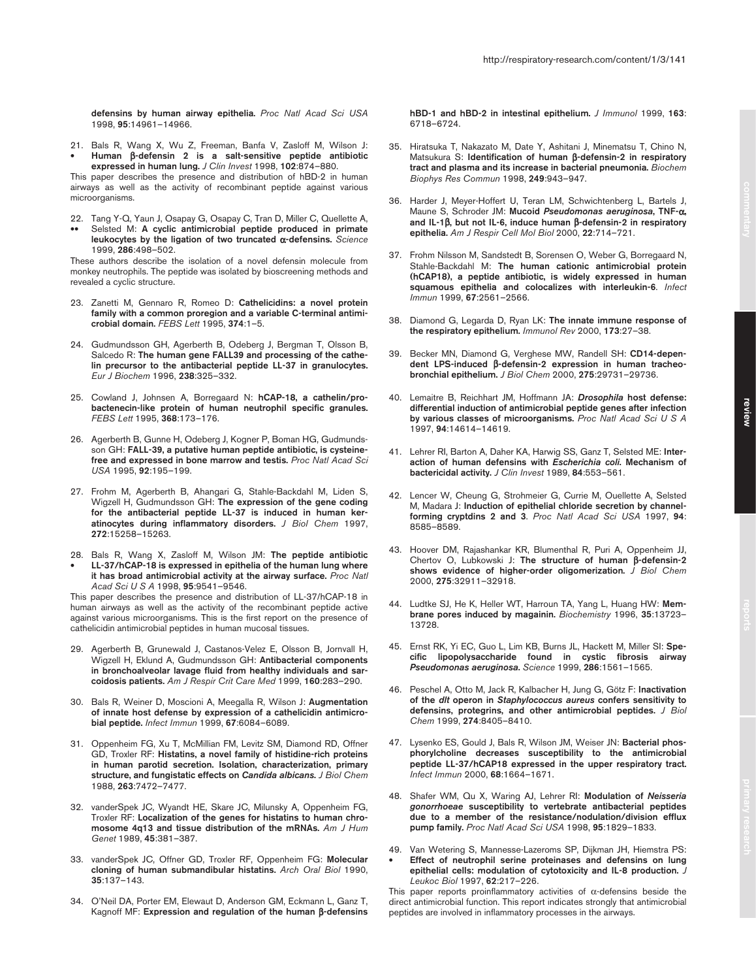**defensins by human airway epithelia.** *Proc Natl Acad Sci USA* 1998, **95**:14961–14966.

21. Bals R, Wang X, Wu Z, Freeman, Banfa V, Zasloff M, Wilson J: • **Human** β**-defensin 2 is a salt-sensitive peptide antibiotic expressed in human lung.** *J Clin Invest* 1998, **102**:874–880.

This paper describes the presence and distribution of hBD-2 in human airways as well as the activity of recombinant peptide against various microorganisms.

- 22. Tang Y-Q, Yaun J, Osapay G, Osapay C, Tran D, Miller C, Quellette A,
- Selsted M: A cyclic antimicrobial peptide produced in primate **leukocytes by the ligation of two truncated** α**-defensins.** *Science* 1999, **286**:498–502.

These authors describe the isolation of a novel defensin molecule from monkey neutrophils. The peptide was isolated by bioscreening methods and revealed a cyclic structure.

- 23. Zanetti M, Gennaro R, Romeo D: **Cathelicidins: a novel protein family with a common proregion and a variable C-terminal antimicrobial domain.** *FEBS Lett* 1995, **374**:1–5.
- 24. Gudmundsson GH, Agerberth B, Odeberg J, Bergman T, Olsson B, Salcedo R: **The human gene FALL39 and processing of the cathelin precursor to the antibacterial peptide LL-37 in granulocytes.** *Eur J Biochem* 1996, **238**:325–332.
- 25. Cowland J, Johnsen A, Borregaard N: **hCAP-18, a cathelin/probactenecin-like protein of human neutrophil specific granules.** *FEBS Lett* 1995, **368**:173–176.
- 26. Agerberth B, Gunne H, Odeberg J, Kogner P, Boman HG, Gudmundsson GH: **FALL-39, a putative human peptide antibiotic, is cysteinefree and expressed in bone marrow and testis.** *Proc Natl Acad Sci USA* 1995, **92**:195–199.
- 27. Frohm M, Agerberth B, Ahangari G, Stahle-Backdahl M, Liden S, Wigzell H, Gudmundsson GH: **The expression of the gene coding for the antibacterial peptide LL-37 is induced in human keratinocytes during inflammatory disorders.** *J Biol Chem* 1997, **272**:15258–15263.
- 28. Bals R, Wang X, Zasloff M, Wilson JM: **The peptide antibiotic**  • **LL-37/hCAP-18 is expressed in epithelia of the human lung where it has broad antimicrobial activity at the airway surface.** *Proc Natl Acad Sci U S A* 1998, **95**:9541–9546.

This paper describes the presence and distribution of LL-37/hCAP-18 in human airways as well as the activity of the recombinant peptide active against various microorganisms. This is the first report on the presence of cathelicidin antimicrobial peptides in human mucosal tissues.

- 29. Agerberth B, Grunewald J, Castanos-Velez E, Olsson B, Jornvall H, Wigzell H, Eklund A, Gudmundsson GH: **Antibacterial components in bronchoalveolar lavage fluid from healthy individuals and sarcoidosis patients.** *Am J Respir Crit Care Med* 1999, **160**:283–290.
- 30. Bals R, Weiner D, Moscioni A, Meegalla R, Wilson J: **Augmentation of innate host defense by expression of a cathelicidin antimicrobial peptide.** *Infect Immun* 1999, **67**:6084–6089.
- 31. Oppenheim FG, Xu T, McMillian FM, Levitz SM, Diamond RD, Offner GD, Troxler RF: **Histatins, a novel family of histidine-rich proteins in human parotid secretion. Isolation, characterization, primary structure, and fungistatic effects on** *Candida albicans***.** *J Biol Chem* 1988, **263**:7472–7477.
- 32. vanderSpek JC, Wyandt HE, Skare JC, Milunsky A, Oppenheim FG, Troxler RF: **Localization of the genes for histatins to human chromosome 4q13 and tissue distribution of the mRNAs.** *Am J Hum Genet* 1989, **45**:381–387.
- 33. vanderSpek JC, Offner GD, Troxler RF, Oppenheim FG: **Molecular cloning of human submandibular histatins.** *Arch Oral Biol* 1990, **35**:137–143.
- 34. O'Neil DA, Porter EM, Elewaut D, Anderson GM, Eckmann L, Ganz T, Kagnoff MF: **Expression and regulation of the human** β**-defensins**

**hBD-1 and hBD-2 in intestinal epithelium.** *J Immunol* 1999, **163**: 6718–6724.

- 35. Hiratsuka T, Nakazato M, Date Y, Ashitani J, Minematsu T, Chino N, Matsukura S: **Identification of human** β**-defensin-2 in respiratory tract and plasma and its increase in bacterial pneumonia.** *Biochem Biophys Res Commun* 1998, **249**:943–947.
- 36. Harder J, Meyer-Hoffert U, Teran LM, Schwichtenberg L, Bartels J, Maune S, Schroder JM: **Mucoid** *Pseudomonas aeruginosa***, TNF-**α**, and IL-1**β**, but not IL-6, induce human** β**-defensin-2 in respiratory epithelia.** *Am J Respir Cell Mol Biol* 2000, **22**:714–721.
- 37. Frohm Nilsson M, Sandstedt B, Sorensen O, Weber G, Borregaard N, Stahle-Backdahl M: **The human cationic antimicrobial protein (hCAP18), a peptide antibiotic, is widely expressed in human squamous epithelia and colocalizes with interleukin-6**. *Infect Immun* 1999, **67**:2561–2566.
- 38. Diamond G, Legarda D, Ryan LK: **The innate immune response of the respiratory epithelium.** *Immunol Rev* 2000, **173**:27–38.
- 39. Becker MN, Diamond G, Verghese MW, Randell SH: **CD14-dependent LPS-induced** β**-defensin-2 expression in human tracheobronchial epithelium.** *J Biol Chem* 2000, **275**:29731–29736.
- 40. Lemaitre B, Reichhart JM, Hoffmann JA: *Drosophila* **host defense: differential induction of antimicrobial peptide genes after infection by various classes of microorganisms.** *Proc Natl Acad Sci U S A* 1997, **94**:14614–14619.
- 41. Lehrer RI, Barton A, Daher KA, Harwig SS, Ganz T, Selsted ME: **Interaction of human defensins with** *Escherichia coli***. Mechanism of bactericidal activity.** *J Clin Invest* 1989, **84**:553–561.
- 42. Lencer W, Cheung G, Strohmeier G, Currie M, Ouellette A, Selsted M, Madara J: **Induction of epithelial chloride secretion by channelforming cryptdins 2 and 3**. *Proc Natl Acad Sci USA* 1997, **94**: 8585–8589.
- 43. Hoover DM, Rajashankar KR, Blumenthal R, Puri A, Oppenheim JJ, Chertov O, Lubkowski J: **The structure of human** β**-defensin-2 shows evidence of higher-order oligomerization.** *J Biol Chem* 2000, **275**:32911–32918.
- 44. Ludtke SJ, He K, Heller WT, Harroun TA, Yang L, Huang HW: **Membrane pores induced by magainin.** *Biochemistry* 1996, **35**:13723– 13728.
- 45. Ernst RK, Yi EC, Guo L, Lim KB, Burns JL, Hackett M, Miller SI: **Specific lipopolysaccharide found in cystic fibrosis airway** *Pseudomonas aeruginosa***.** *Science* 1999, **286**:1561–1565.
- 46. Peschel A, Otto M, Jack R, Kalbacher H, Jung G, Götz F: **Inactivation of the** *dlt* **operon in** *Staphylococcus aureus* **confers sensitivity to defensins, protegrins, and other antimicrobial peptides.** *J Biol Chem* 1999, **274**:8405–8410.
- 47. Lysenko ES, Gould J, Bals R, Wilson JM, Weiser JN: **Bacterial phosphorylcholine decreases susceptibility to the antimicrobial peptide LL-37/hCAP18 expressed in the upper respiratory tract.** *Infect Immun* 2000, **68**:1664–1671.
- 48. Shafer WM, Qu X, Waring AJ, Lehrer RI: **Modulation of** *Neisseria gonorrhoeae* **susceptibility to vertebrate antibacterial peptides due to a member of the resistance/nodulation/division efflux pump family.** *Proc Natl Acad Sci USA* 1998, **95**:1829–1833.
- 49. Van Wetering S, Mannesse-Lazeroms SP, Dijkman JH, Hiemstra PS: • **Effect of neutrophil serine proteinases and defensins on lung epithelial cells: modulation of cytotoxicity and IL-8 production.** *J Leukoc Biol* 1997, **62**:217–226.

This paper reports proinflammatory activities of  $\alpha$ -defensins beside the direct antimicrobial function. This report indicates strongly that antimicrobial peptides are involved in inflammatory processes in the airways.